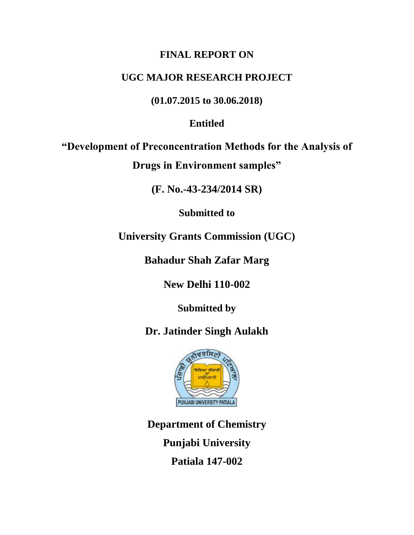## **FINAL REPORT ON**

# **UGC MAJOR RESEARCH PROJECT**

**(01.07.2015 to 30.06.2018)**

# **Entitled**

**"Development of Preconcentration Methods for the Analysis of Drugs in Environment samples"**

**(F. No.-43-234/2014 SR)**

**Submitted to** 

**University Grants Commission (UGC)** 

**Bahadur Shah Zafar Marg**

**New Delhi 110-002**

**Submitted by** 

**Dr. Jatinder Singh Aulakh**



**Department of Chemistry Punjabi University Patiala 147-002**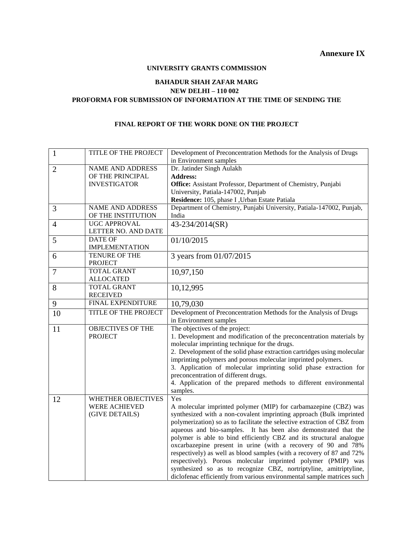## **Annexure IX**

#### **UNIVERSITY GRANTS COMMISSION**

## **BAHADUR SHAH ZAFAR MARG NEW DELHI – 110 002 PROFORMA FOR SUBMISSION OF INFORMATION AT THE TIME OF SENDING THE**

## **FINAL REPORT OF THE WORK DONE ON THE PROJECT**

| 1              | TITLE OF THE PROJECT                                                | Development of Preconcentration Methods for the Analysis of Drugs<br>in Environment samples                                                                                                                                                                                                                                                                                                                                                                                                                                                                                                                                                                                                                                  |
|----------------|---------------------------------------------------------------------|------------------------------------------------------------------------------------------------------------------------------------------------------------------------------------------------------------------------------------------------------------------------------------------------------------------------------------------------------------------------------------------------------------------------------------------------------------------------------------------------------------------------------------------------------------------------------------------------------------------------------------------------------------------------------------------------------------------------------|
| $\overline{2}$ | NAME AND ADDRESS<br>OF THE PRINCIPAL<br><b>INVESTIGATOR</b>         | Dr. Jatinder Singh Aulakh<br><b>Address:</b><br>Office: Assistant Professor, Department of Chemistry, Punjabi<br>University, Patiala-147002, Punjab<br>Residence: 105, phase I, Urban Estate Patiala                                                                                                                                                                                                                                                                                                                                                                                                                                                                                                                         |
| 3              | <b>NAME AND ADDRESS</b><br>OF THE INSTITUTION                       | Department of Chemistry, Punjabi University, Patiala-147002, Punjab,<br>India                                                                                                                                                                                                                                                                                                                                                                                                                                                                                                                                                                                                                                                |
| $\overline{4}$ | <b>UGC APPROVAL</b><br>LETTER NO. AND DATE                          | 43-234/2014(SR)                                                                                                                                                                                                                                                                                                                                                                                                                                                                                                                                                                                                                                                                                                              |
| 5              | <b>DATE OF</b><br><b>IMPLEMENTATION</b>                             | 01/10/2015                                                                                                                                                                                                                                                                                                                                                                                                                                                                                                                                                                                                                                                                                                                   |
| 6              | TENURE OF THE<br><b>PROJECT</b>                                     | 3 years from 01/07/2015                                                                                                                                                                                                                                                                                                                                                                                                                                                                                                                                                                                                                                                                                                      |
| $\overline{7}$ | <b>TOTAL GRANT</b><br><b>ALLOCATED</b>                              | 10,97,150                                                                                                                                                                                                                                                                                                                                                                                                                                                                                                                                                                                                                                                                                                                    |
| 8              | <b>TOTAL GRANT</b><br><b>RECEIVED</b>                               | 10,12,995                                                                                                                                                                                                                                                                                                                                                                                                                                                                                                                                                                                                                                                                                                                    |
| 9              | FINAL EXPENDITURE                                                   | 10,79,030                                                                                                                                                                                                                                                                                                                                                                                                                                                                                                                                                                                                                                                                                                                    |
| 10             | TITLE OF THE PROJECT                                                | Development of Preconcentration Methods for the Analysis of Drugs<br>in Environment samples                                                                                                                                                                                                                                                                                                                                                                                                                                                                                                                                                                                                                                  |
| 11             | <b>OBJECTIVES OF THE</b><br><b>PROJECT</b>                          | The objectives of the project:<br>1. Development and modification of the preconcentration materials by<br>molecular imprinting technique for the drugs.<br>2. Development of the solid phase extraction cartridges using molecular<br>imprinting polymers and porous molecular imprinted polymers.<br>3. Application of molecular imprinting solid phase extraction for<br>preconcentration of different drugs.<br>4. Application of the prepared methods to different environmental<br>samples.                                                                                                                                                                                                                             |
| 12             | <b>WHETHER OBJECTIVES</b><br><b>WERE ACHIEVED</b><br>(GIVE DETAILS) | Yes<br>A molecular imprinted polymer (MIP) for carbamazepine (CBZ) was<br>synthesized with a non-covalent imprinting approach (Bulk imprinted<br>polymerization) so as to facilitate the selective extraction of CBZ from<br>aqueous and bio-samples. It has been also demonstrated that the<br>polymer is able to bind efficiently CBZ and its structural analogue<br>oxcarbazepine present in urine (with a recovery of 90 and 78%<br>respectively) as well as blood samples (with a recovery of 87 and 72%<br>respectively). Porous molecular imprinted polymer (PMIP) was<br>synthesized so as to recognize CBZ, nortriptyline, amitriptyline,<br>diclofenac efficiently from various environmental sample matrices such |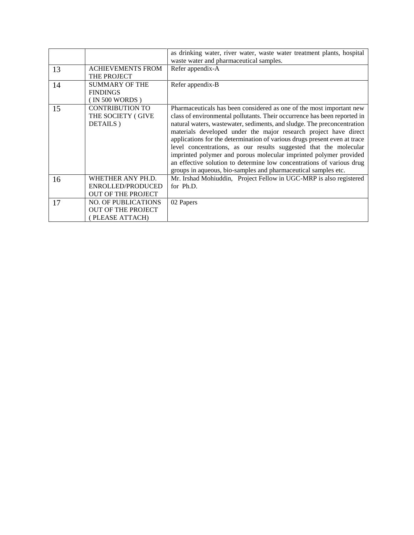|    |                            | as drinking water, river water, waste water treatment plants, hospital    |
|----|----------------------------|---------------------------------------------------------------------------|
|    |                            | waste water and pharmaceutical samples.                                   |
| 13 | <b>ACHIEVEMENTS FROM</b>   | Refer appendix-A                                                          |
|    | THE PROJECT                |                                                                           |
| 14 | <b>SUMMARY OF THE</b>      | Refer appendix-B                                                          |
|    | <b>FINDINGS</b>            |                                                                           |
|    | (IN 500 WORDS)             |                                                                           |
| 15 | <b>CONTRIBUTION TO</b>     | Pharmaceuticals has been considered as one of the most important new      |
|    | THE SOCIETY (GIVE          | class of environmental pollutants. Their occurrence has been reported in  |
|    | DETAILS)                   | natural waters, wastewater, sediments, and sludge. The preconcentration   |
|    |                            | materials developed under the major research project have direct          |
|    |                            | applications for the determination of various drugs present even at trace |
|    |                            | level concentrations, as our results suggested that the molecular         |
|    |                            | imprinted polymer and porous molecular imprinted polymer provided         |
|    |                            | an effective solution to determine low concentrations of various drug     |
|    |                            | groups in aqueous, bio-samples and pharmaceutical samples etc.            |
| 16 | WHETHER ANY PH.D.          | Mr. Irshad Mohiuddin, Project Fellow in UGC-MRP is also registered        |
|    | ENROLLED/PRODUCED          | for Ph.D.                                                                 |
|    | <b>OUT OF THE PROJECT</b>  |                                                                           |
| 17 | <b>NO. OF PUBLICATIONS</b> | 02 Papers                                                                 |
|    | <b>OUT OF THE PROJECT</b>  |                                                                           |
|    | (PLEASE ATTACH)            |                                                                           |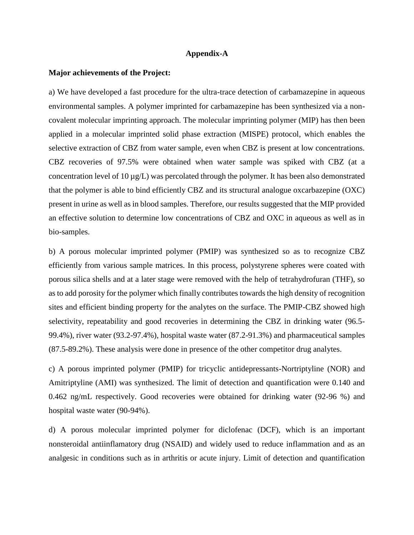## **Appendix-A**

## **Major achievements of the Project:**

a) We have developed a fast procedure for the ultra-trace detection of carbamazepine in aqueous environmental samples. A polymer imprinted for carbamazepine has been synthesized via a noncovalent molecular imprinting approach. The molecular imprinting polymer (MIP) has then been applied in a molecular imprinted solid phase extraction (MISPE) protocol, which enables the selective extraction of CBZ from water sample, even when CBZ is present at low concentrations. CBZ recoveries of 97.5% were obtained when water sample was spiked with CBZ (at a concentration level of 10  $\mu$ g/L) was percolated through the polymer. It has been also demonstrated that the polymer is able to bind efficiently CBZ and its structural analogue oxcarbazepine (OXC) present in urine as well as in blood samples. Therefore, our results suggested that the MIP provided an effective solution to determine low concentrations of CBZ and OXC in aqueous as well as in bio-samples.

b) A porous molecular imprinted polymer (PMIP) was synthesized so as to recognize CBZ efficiently from various sample matrices. In this process, polystyrene spheres were coated with porous silica shells and at a later stage were removed with the help of tetrahydrofuran (THF), so as to add porosity for the polymer which finally contributes towards the high density of recognition sites and efficient binding property for the analytes on the surface. The PMIP-CBZ showed high selectivity, repeatability and good recoveries in determining the CBZ in drinking water (96.5- 99.4%), river water (93.2-97.4%), hospital waste water (87.2-91.3%) and pharmaceutical samples (87.5-89.2%). These analysis were done in presence of the other competitor drug analytes.

c) A porous imprinted polymer (PMIP) for tricyclic antidepressants-Nortriptyline (NOR) and Amitriptyline (AMI) was synthesized. The limit of detection and quantification were 0.140 and 0.462 ng/mL respectively. Good recoveries were obtained for drinking water (92-96 %) and hospital waste water (90-94%).

d) A porous molecular imprinted polymer for diclofenac (DCF), which is an important nonsteroidal antiinflamatory drug (NSAID) and widely used to reduce inflammation and as an analgesic in conditions such as in arthritis or acute injury. Limit of detection and quantification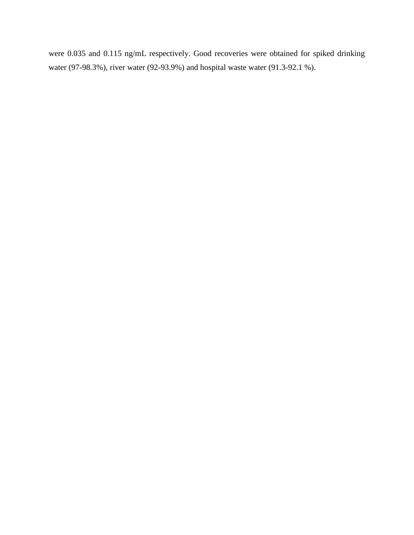were 0.035 and 0.115 ng/mL respectively. Good recoveries were obtained for spiked drinking water (97-98.3%), river water (92-93.9%) and hospital waste water (91.3-92.1 %).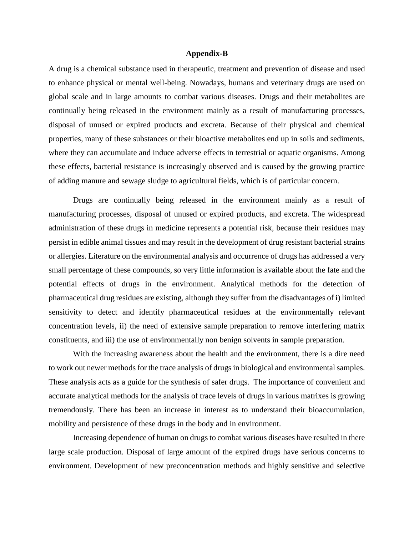#### **Appendix-B**

A drug is a chemical substance used in therapeutic, treatment and prevention of disease and used to enhance physical or mental well-being. Nowadays, humans and veterinary drugs are used on global scale and in large amounts to combat various diseases. Drugs and their metabolites are continually being released in the environment mainly as a result of manufacturing processes, disposal of unused or expired products and excreta. Because of their physical and chemical properties, many of these substances or their bioactive metabolites end up in soils and sediments, where they can accumulate and induce adverse effects in terrestrial or aquatic organisms. Among these effects, bacterial resistance is increasingly observed and is caused by the growing practice of adding manure and sewage sludge to agricultural fields, which is of particular concern.

Drugs are continually being released in the environment mainly as a result of manufacturing processes, disposal of unused or expired products, and excreta. The widespread administration of these drugs in medicine represents a potential risk, because their residues may persist in edible animal tissues and may result in the development of drug resistant bacterial strains or allergies. Literature on the environmental analysis and occurrence of drugs has addressed a very small percentage of these compounds, so very little information is available about the fate and the potential effects of drugs in the environment. Analytical methods for the detection of pharmaceutical drug residues are existing, although they suffer from the disadvantages of i) limited sensitivity to detect and identify pharmaceutical residues at the environmentally relevant concentration levels, ii) the need of extensive sample preparation to remove interfering matrix constituents, and iii) the use of environmentally non benign solvents in sample preparation.

With the increasing awareness about the health and the environment, there is a dire need to work out newer methods for the trace analysis of drugs in biological and environmental samples. These analysis acts as a guide for the synthesis of safer drugs. The importance of convenient and accurate analytical methods for the analysis of trace levels of drugs in various matrixes is growing tremendously. There has been an increase in interest as to understand their bioaccumulation, mobility and persistence of these drugs in the body and in environment.

Increasing dependence of human on drugs to combat various diseases have resulted in there large scale production. Disposal of large amount of the expired drugs have serious concerns to environment. Development of new preconcentration methods and highly sensitive and selective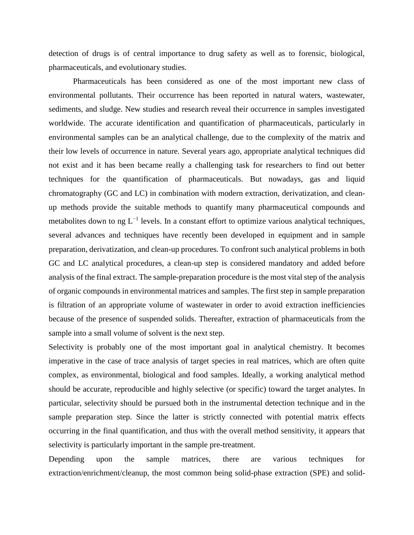detection of drugs is of central importance to drug safety as well as to forensic, biological, pharmaceuticals, and evolutionary studies.

Pharmaceuticals has been considered as one of the most important new class of environmental pollutants. Their occurrence has been reported in natural waters, wastewater, sediments, and sludge. New studies and research reveal their occurrence in samples investigated worldwide. The accurate identification and quantification of pharmaceuticals, particularly in environmental samples can be an analytical challenge, due to the complexity of the matrix and their low levels of occurrence in nature. Several years ago, appropriate analytical techniques did not exist and it has been became really a challenging task for researchers to find out better techniques for the quantification of pharmaceuticals. But nowadays, gas and liquid chromatography (GC and LC) in combination with modern extraction, derivatization, and cleanup methods provide the suitable methods to quantify many pharmaceutical compounds and metabolites down to ng  $L^{-1}$  levels. In a constant effort to optimize various analytical techniques, several advances and techniques have recently been developed in equipment and in sample preparation, derivatization, and clean-up procedures. To confront such analytical problems in both GC and LC analytical procedures, a clean-up step is considered mandatory and added before analysis of the final extract. The sample-preparation procedure is the most vital step of the analysis of organic compounds in environmental matrices and samples. The first step in sample preparation is filtration of an appropriate volume of wastewater in order to avoid extraction inefficiencies because of the presence of suspended solids. Thereafter, extraction of pharmaceuticals from the sample into a small volume of solvent is the next step.

Selectivity is probably one of the most important goal in analytical chemistry. It becomes imperative in the case of trace analysis of target species in real matrices, which are often quite complex, as environmental, biological and food samples. Ideally, a working analytical method should be accurate, reproducible and highly selective (or specific) toward the target analytes. In particular, selectivity should be pursued both in the instrumental detection technique and in the sample preparation step. Since the latter is strictly connected with potential matrix effects occurring in the final quantification, and thus with the overall method sensitivity, it appears that selectivity is particularly important in the sample pre-treatment.

Depending upon the sample matrices, there are various techniques for extraction/enrichment/cleanup, the most common being solid-phase extraction (SPE) and solid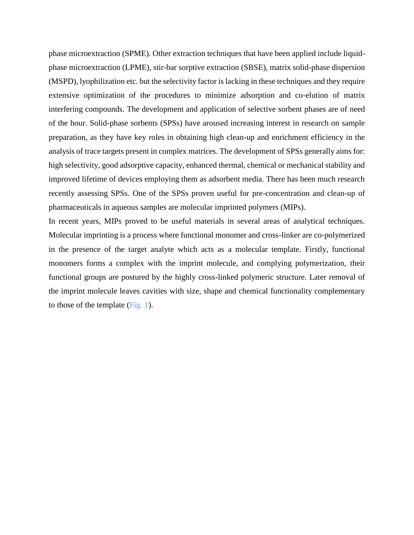phase microextraction (SPME). Other extraction techniques that have been applied include liquidphase microextraction (LPME), stir-bar sorptive extraction (SBSE), matrix solid-phase dispersion (MSPD), lyophilization etc. but the selectivity factor is lacking in these techniques and they require extensive optimization of the procedures to minimize adsorption and co-elution of matrix interfering compounds. The development and application of selective sorbent phases are of need of the hour. Solid-phase sorbents (SPSs) have aroused increasing interest in research on sample preparation, as they have key roles in obtaining high clean-up and enrichment efficiency in the analysis of trace targets present in complex matrices. The development of SPSs generally aims for: high selectivity, good adsorptive capacity, enhanced thermal, chemical or mechanical stability and improved lifetime of devices employing them as adsorbent media. There has been much research recently assessing SPSs. One of the SPSs proven useful for pre-concentration and clean-up of pharmaceuticals in aqueous samples are molecular imprinted polymers (MIPs).

In recent years, MIPs proved to be useful materials in several areas of analytical techniques. Molecular imprinting is a process where functional monomer and cross-linker are co-polymerized in the presence of the target analyte which acts as a molecular template. Firstly, functional monomers forms a complex with the imprint molecule, and complying polymerization, their functional groups are postured by the highly cross-linked polymeric structure. Later removal of the imprint molecule leaves cavities with size, shape and chemical functionality complementary to those of the template (Fig. 1).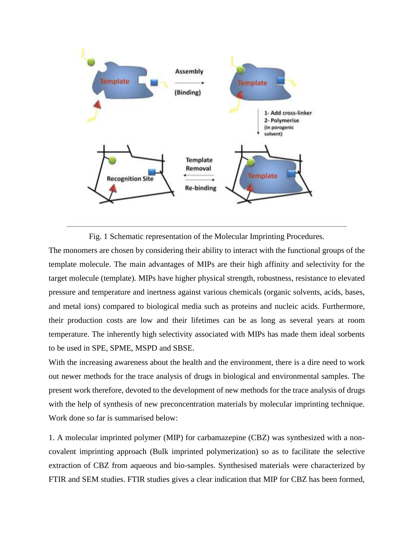

Fig. 1 Schematic representation of the Molecular Imprinting Procedures.

The monomers are chosen by considering their ability to interact with the functional groups of the template molecule. The main advantages of MIPs are their high affinity and selectivity for the target molecule (template). MIPs have higher physical strength, robustness, resistance to elevated pressure and temperature and inertness against various chemicals (organic solvents, acids, bases, and metal ions) compared to biological media such as proteins and nucleic acids. Furthermore, their production costs are low and their lifetimes can be as long as several years at room temperature. The inherently high selectivity associated with MIPs has made them ideal sorbents to be used in SPE, SPME, MSPD and SBSE.

With the increasing awareness about the health and the environment, there is a dire need to work out newer methods for the trace analysis of drugs in biological and environmental samples. The present work therefore, devoted to the development of new methods for the trace analysis of drugs with the help of synthesis of new preconcentration materials by molecular imprinting technique. Work done so far is summarised below:

1. A molecular imprinted polymer (MIP) for carbamazepine (CBZ) was synthesized with a noncovalent imprinting approach (Bulk imprinted polymerization) so as to facilitate the selective extraction of CBZ from aqueous and bio-samples. Synthesised materials were characterized by FTIR and SEM studies. FTIR studies gives a clear indication that MIP for CBZ has been formed,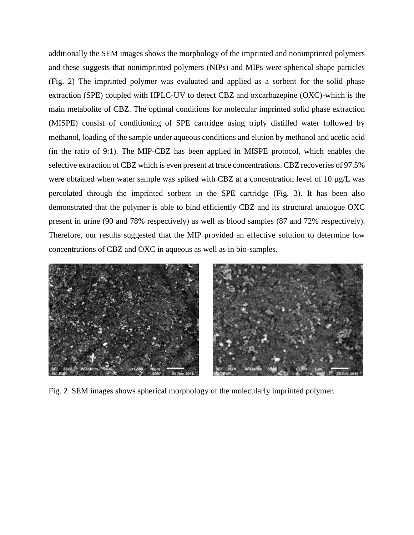additionally the SEM images shows the morphology of the imprinted and nonimprinted polymers and these suggests that nonimprinted polymers (NIPs) and MIPs were spherical shape particles (Fig. 2) The imprinted polymer was evaluated and applied as a sorbent for the solid phase extraction (SPE) coupled with HPLC-UV to detect CBZ and oxcarbazepine (OXC)-which is the main metabolite of CBZ. The optimal conditions for molecular imprinted solid phase extraction (MISPE) consist of conditioning of SPE cartridge using triply distilled water followed by methanol, loading of the sample under aqueous conditions and elution by methanol and acetic acid (in the ratio of 9:1). The MIP-CBZ has been applied in MISPE protocol, which enables the selective extraction of CBZ which is even present at trace concentrations. CBZ recoveries of 97.5% were obtained when water sample was spiked with CBZ at a concentration level of 10  $\mu$ g/L was percolated through the imprinted sorbent in the SPE cartridge (Fig. 3). It has been also demonstrated that the polymer is able to bind efficiently CBZ and its structural analogue OXC present in urine (90 and 78% respectively) as well as blood samples (87 and 72% respectively). Therefore, our results suggested that the MIP provided an effective solution to determine low concentrations of CBZ and OXC in aqueous as well as in bio-samples.



Fig. 2 SEM images shows spherical morphology of the molecularly imprinted polymer.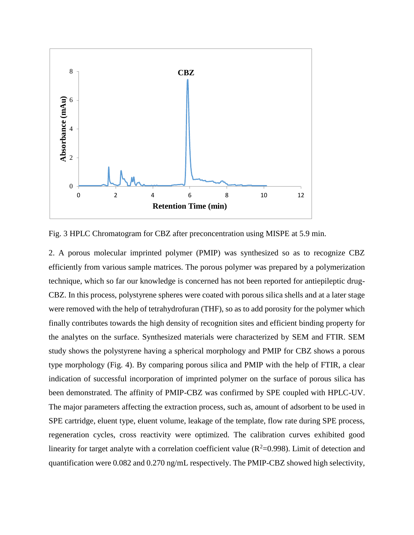

Fig. 3 HPLC Chromatogram for CBZ after preconcentration using MISPE at 5.9 min.

2. A porous molecular imprinted polymer (PMIP) was synthesized so as to recognize CBZ efficiently from various sample matrices. The porous polymer was prepared by a polymerization technique, which so far our knowledge is concerned has not been reported for antiepileptic drug-CBZ. In this process, polystyrene spheres were coated with porous silica shells and at a later stage were removed with the help of tetrahydrofuran (THF), so as to add porosity for the polymer which finally contributes towards the high density of recognition sites and efficient binding property for the analytes on the surface. Synthesized materials were characterized by SEM and FTIR. SEM study shows the polystyrene having a spherical morphology and PMIP for CBZ shows a porous type morphology (Fig. 4). By comparing porous silica and PMIP with the help of FTIR, a clear indication of successful incorporation of imprinted polymer on the surface of porous silica has been demonstrated. The affinity of PMIP-CBZ was confirmed by SPE coupled with HPLC-UV. The major parameters affecting the extraction process, such as, amount of adsorbent to be used in SPE cartridge, eluent type, eluent volume, leakage of the template, flow rate during SPE process, regeneration cycles, cross reactivity were optimized. The calibration curves exhibited good linearity for target analyte with a correlation coefficient value ( $R^2$ =0.998). Limit of detection and quantification were 0.082 and 0.270 ng/mL respectively. The PMIP-CBZ showed high selectivity,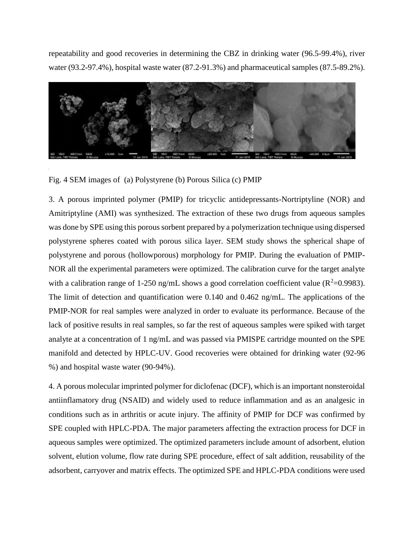repeatability and good recoveries in determining the CBZ in drinking water (96.5-99.4%), river water (93.2-97.4%), hospital waste water (87.2-91.3%) and pharmaceutical samples (87.5-89.2%).



Fig. 4 SEM images of (a) Polystyrene (b) Porous Silica (c) PMIP

3. A porous imprinted polymer (PMIP) for tricyclic antidepressants-Nortriptyline (NOR) and Amitriptyline (AMI) was synthesized. The extraction of these two drugs from aqueous samples was done by SPE using this porous sorbent prepared by a polymerization technique using dispersed polystyrene spheres coated with porous silica layer. SEM study shows the spherical shape of polystyrene and porous (hollowporous) morphology for PMIP. During the evaluation of PMIP-NOR all the experimental parameters were optimized. The calibration curve for the target analyte with a calibration range of 1-250 ng/mL shows a good correlation coefficient value ( $R^2$ =0.9983). The limit of detection and quantification were 0.140 and 0.462 ng/mL. The applications of the PMIP-NOR for real samples were analyzed in order to evaluate its performance. Because of the lack of positive results in real samples, so far the rest of aqueous samples were spiked with target analyte at a concentration of 1 ng/mL and was passed via PMISPE cartridge mounted on the SPE manifold and detected by HPLC-UV. Good recoveries were obtained for drinking water (92-96 %) and hospital waste water (90-94%).

4. A porous molecular imprinted polymer for diclofenac (DCF), which is an important nonsteroidal antiinflamatory drug (NSAID) and widely used to reduce inflammation and as an analgesic in conditions such as in arthritis or acute injury. The affinity of PMIP for DCF was confirmed by SPE coupled with HPLC-PDA. The major parameters affecting the extraction process for DCF in aqueous samples were optimized. The optimized parameters include amount of adsorbent, elution solvent, elution volume, flow rate during SPE procedure, effect of salt addition, reusability of the adsorbent, carryover and matrix effects. The optimized SPE and HPLC-PDA conditions were used